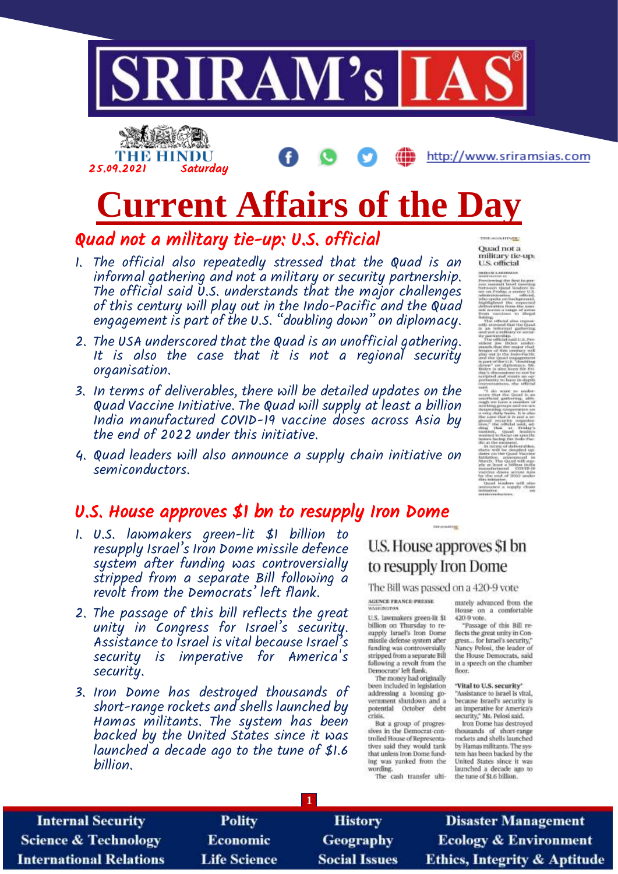



http://www.sriramsias.com

# **Current Affairs of the Day**

### Quad not a military tie-up: U.S. official

- 1. The official also repeatedly stressed that the Quad is an informal gathering and not a military or security partnership. The official said U.S. understands that the major challenges of this century will play out in the Indo-Pacific and the Quad engagement is part of the U.S. "doubling down" on diplomacy.
- 2. The USA underscored that the Quad is an unofficial gathering. It is also the case that it is not a regional security organisation.
- 3. In terms of deliverables, there will be detailed updates on the Quad Vaccine Initiative. The Quad will supply at least a billion India manufactured COVID-19 vaccine doses across Asia by the end of 2022 under this initiative.
- 4. Quad leaders will also announce a supply chain initiative on semiconductors.

### U.S. House approves \$1 bn to resupply Iron Dome

- 1. U.S. lawmakers green-lit \$1 billion to resupply Israel's Iron Dome missile defence system after funding was controversially stripped from a separate Bill following a revolt from the Democrats' left flank.
- 2. The passage of this bill reflects the great unity in Congress for Israel's security. Assistance to Israel is vital because Israel's security is imperative for America's security.
- 3. Iron Dome has destroyed thousands of short-range rockets and shells launched by Hamas militants. The system has been backed by the United States since it was launched a decade ago to the tune of \$1.6 billion.

### U.S. House approves \$1 bn to resupply Iron Dome

#### The Bill was passed on a 420-9 vote

AGENCE PRANCE-PRESSE WASHINGTON

U.S. lawmakers green-lit \$1 billion on Thursday to re-<br>supply Israel's Iron Dome missile defense system after funding was controversially<br>stripped from a separate Bill following a revolt from the<br>Democrats' left flank.

The money had originally been included in legislation addressing a looming government shutdown and a potential October debt crisis

But a group of progressives in the Democrat-controlled House of Representatives said they would tank that unless fron Dome funding was yanked from the wording.

The cash transfer ulti-

mately advanced from the House on a comfortable 420-9 vote.

"Passage of this Bill reflects the great unity in Congress... for Israel's security,' Nancy Pelosi, the leader of the House Democrats, said in a speech on the chamber floor.

#### 'Vital to U.S. security'

"Assistance to Israel is vital, because Israel's security is<br>an imperative for America's security," Ms. Pelosi said.

Iron Dome has destroyed<br>thousands of short-range rockets and shells launched<br>by Hamas militants. The system has been backed by the United States since it was launched a decade ago to the tune of \$1.6 billion.

| <b>Internal Security</b>        | <b>Polity</b>       | <b>History</b>       | <b>Disaster Management</b>              |  |  |
|---------------------------------|---------------------|----------------------|-----------------------------------------|--|--|
| <b>Science &amp; Technology</b> | <b>Economic</b>     | <b>Geography</b>     | <b>Ecology &amp; Environment</b>        |  |  |
| <b>International Relations</b>  | <b>Life Science</b> | <b>Social Issues</b> | <b>Ethics, Integrity &amp; Aptitude</b> |  |  |

**Ouad not a** 

military tie-up:<br>U.S. official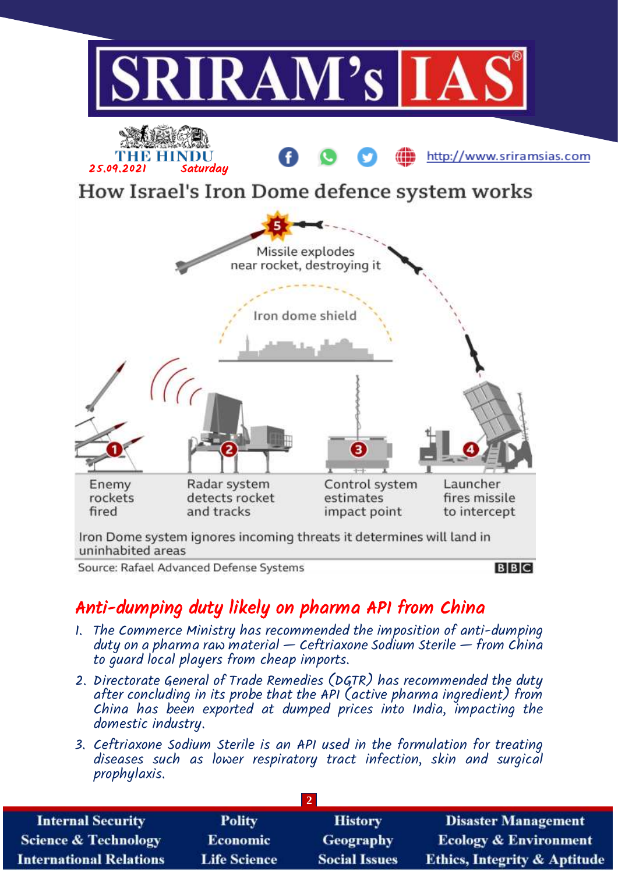

## Anti-dumping duty likely on pharma API from China

- 1. The Commerce Ministry has recommended the imposition of anti-dumping duty on a pharma raw material  $-$  Ceftriaxone Sodium Sterile  $-$  from China to guard local players from cheap imports.
- 2. Directorate General of Trade Remedies (DGTR) has recommended the duty after concluding in its probe that the API (active pharma ingredient) from China has been exported at dumped prices into India, impacting the domestic industry.
- 3. Ceftriaxone Sodium Sterile is an API used in the formulation for treating diseases such as lower respiratory tract infection, skin and surgical prophylaxis.

| <b>Internal Security</b>        | <b>Polity</b>       | <b>History</b>       | <b>Disaster Management</b>              |  |  |
|---------------------------------|---------------------|----------------------|-----------------------------------------|--|--|
| <b>Science &amp; Technology</b> | <b>Economic</b>     | <b>Geography</b>     | <b>Ecology &amp; Environment</b>        |  |  |
| <b>International Relations</b>  | <b>Life Science</b> | <b>Social Issues</b> | <b>Ethics, Integrity &amp; Aptitude</b> |  |  |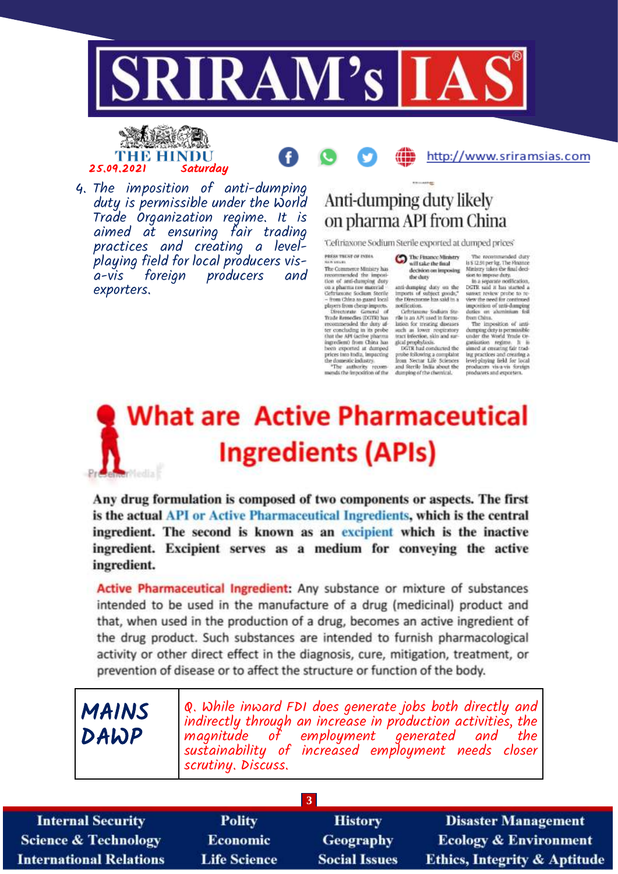

#### ya kata THE HINDU 25.09.2021 Saturdau



4. The imposition of anti-dumping duty is permissible under the World Trade Organization regime. It is aimed at ensuring fair trading practices and creating a levelplaying field for local producers visforeign producers a-vis and exporters.

# Anti-dumping duty likely on pharma API from China

'Ceftriaxone Sodium Sterile exported at dumped prices'

the duty

will take the final

gical prophylaxis.<br>DGTR had conducted the

PRESS TRUST OF INDIA now once.<br>The Commerce Ministry has

The Commerce Ministry has<br>recommended the imposition of anti-dumping duty on a phasena rate and<br>recommended the imposition of the Contrassone Socilium Sociale<br>- from China to guard beach<br>physics from cheap imports.<br>Directi anti-dumping daty on the imports of subject prode,"<br>the Directorate has said in a medification.<br>Collition of the said in a religion of the same scalar<br>problem in API used in formation for the same lation for transition lation for treating direases ter concluding in its probe with an lower respiratory<br>tract infection, skin and nar-

that the API (active pharma)<br>ingredient) from China has heen exported at dumped secure equations at samples and probe following a complaint<br>the domestic industry. Then we are the schemes the domestic industry<br>from and Sterile India about the analytic property of the analytic property<br>mends the improvi

<sup>The Pinance Ministry</sup> The reco is \$12.91 per lg. The Finance<br>Ministry takes the final decision to improve duty. decision on imposing

sion to improve dury,<br>the a separate coeffication,<br>DGTR said it has started a<br>sumer resider profes to re<br>view the need for continued<br>improvident of anti-dumping<br>duries on adminism foll<br>from China.<br>The imposition of anti-<br>

http://www.sriramsias.com

The Imposition of anti-<br>dumping duty is permissible<br>under the World Trade Orgarásation regime. It is<br>ulmed at ensuring fair trading practices and creating a<br>level-phying field for local<br>producers vis-a-vis-foreign<br>producers and exporters.

# **What are Active Pharmaceutical Ingredients (APIs) Windis**

Any drug formulation is composed of two components or aspects. The first is the actual API or Active Pharmaceutical Ingredients, which is the central ingredient. The second is known as an excipient which is the inactive ingredient. Excipient serves as a medium for conveying the active ingredient.

Active Pharmaceutical Ingredient: Any substance or mixture of substances intended to be used in the manufacture of a drug (medicinal) product and that, when used in the production of a drug, becomes an active ingredient of the drug product. Such substances are intended to furnish pharmacological activity or other direct effect in the diagnosis, cure, mitigation, treatment, or prevention of disease or to affect the structure or function of the body.

| MAINS<br>DAWP | $\varphi$ . While inward FDI does generate jobs both directly and<br>indirectly through an increase in production activities, the<br>magnitude of employment generated and the<br>sustainability of increased employment needs closer |
|---------------|---------------------------------------------------------------------------------------------------------------------------------------------------------------------------------------------------------------------------------------|
|               | <i>scrutiny. Discuss.</i>                                                                                                                                                                                                             |

| $\overline{3}$                  |                     |                      |                                         |  |  |  |
|---------------------------------|---------------------|----------------------|-----------------------------------------|--|--|--|
| <b>Internal Security</b>        | Polity              | <b>History</b>       | <b>Disaster Management</b>              |  |  |  |
| <b>Science &amp; Technology</b> | <b>Economic</b>     | <b>Geography</b>     | <b>Ecology &amp; Environment</b>        |  |  |  |
| <b>International Relations</b>  | <b>Life Science</b> | <b>Social Issues</b> | <b>Ethics, Integrity &amp; Aptitude</b> |  |  |  |